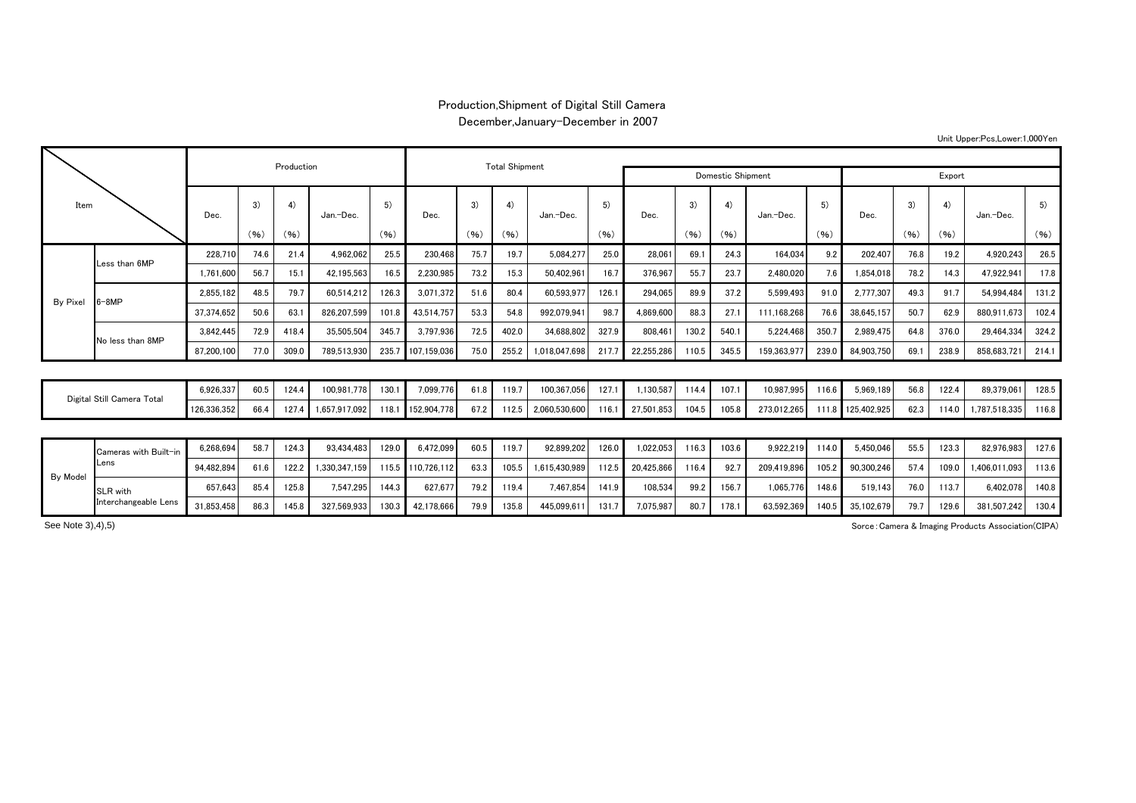## Production,Shipment of Digital Still Camera December,January-December in 2007

| Unit Upper:Pcs,Lower:1,000Yen |  |
|-------------------------------|--|
|-------------------------------|--|

| Item            |                            |            |      | Production |               |       |                   | <b>Total Shipment</b> |       |               |            |            |       |       |             |       |                   |      |       |               |       |
|-----------------|----------------------------|------------|------|------------|---------------|-------|-------------------|-----------------------|-------|---------------|------------|------------|-------|-------|-------------|-------|-------------------|------|-------|---------------|-------|
|                 |                            |            |      |            |               |       |                   | Domestic Shipment     |       |               | Export     |            |       |       |             |       |                   |      |       |               |       |
|                 |                            | Dec.       | 3)   | 4)         | Jan.-Dec.     | 5)    | Dec.              | 3)                    | 4)    | Jan.-Dec.     | 5)<br>(96) | Dec.       | 3)    | 4)    | Jan.-Dec.   | 5)    | Dec.              | 3)   | 4)    | Jan.-Dec.     | 5)    |
|                 |                            |            | (96) | (96)       |               | (96)  |                   | (96)                  | (96)  |               |            |            | (96)  | (96)  |             | (96)  |                   | (96) | (96)  |               | (96)  |
|                 | ess than 6MP               | 228.710    | 74.6 | 21.4       | 4.962.062     | 25.5  | 230.468           | 75.7                  | 19.7  | 5.084.277     | 25.0       | 28.061     | 69.1  | 24.3  | 164.034     | 9.2   | 202,407           | 76.8 | 19.2  | 4.920.243     | 26.5  |
|                 |                            | 1.761.600  | 56.7 | 15.1       | 42.195.563    | 16.5  | 2,230,985         | 73.2                  | 15.3  | 50.402.961    | 16.7       | 376.967    | 55.7  | 23.7  | 2.480.020   | 7.6   | 1.854.018         | 78.2 | 14.3  | 47.922.941    | 17.8  |
| <b>By Pixel</b> | $-8MP$                     | 2.855.182  | 48.5 | 79.7       | 60,514,212    | 126.3 | 3.071.372         | 51.6                  | 80.4  | 60.593.977    | 126.1      | 294.065    | 89.9  | 37.2  | 5,599,493   | 91.0  | 2.777.307         | 49.3 | 91.7  | 54.994.484    | 131.2 |
|                 |                            | 37.374.652 | 50.6 | 63.1       | 826.207.599   | 101.8 | 43.514.757        | 53.3                  | 54.8  | 992.079.94    | 98.7       | 4.869.600  | 88.3  | 27.1  | 111.168.268 | 76.6  | 38.645.157        | 50.7 | 62.9  | 880.911.673   | 102.4 |
|                 | No less than 8MP           | 3.842.445  | 72.9 | 418.4      | 35,505,504    | 345.7 | 3,797,936         | 72.5                  | 402.0 | 34.688.802    | 327.9      | 808.461    | 130.2 | 540.1 | 5,224,468   | 350.  | 2,989,475         | 64.8 | 376.0 | 29.464.334    | 324.2 |
|                 |                            | 87,200,100 | 77.0 | 309.0      | 789,513,930   | 235.7 | 107,159,036       | 75.0                  | 255.2 | 1,018,047,698 | 217.       | 22,255,286 | 110.5 | 345.5 | 159,363,977 | 239.0 | 84,903,750        | 69.1 | 238.9 | 858,683,721   | 214.1 |
|                 |                            |            |      |            |               |       |                   |                       |       |               |            |            |       |       |             |       |                   |      |       |               |       |
|                 | Digital Still Camera Total |            | 60.5 | 124.4      | 100,981,778   | 130.1 | 7,099,776         | 61.8                  | 119.7 | 100,367,056   | 127.1      | 1,130,587  | 114.4 | 107.1 | 10,987,995  | 116.6 | 5,969,189         | 56.8 | 122.4 | 89,379,061    | 128.5 |
|                 |                            |            | 66.4 | 127.4      | 1,657,917,092 | 118.1 | 152,904,778       | 67.2                  | 112.5 | 2,060,530,600 | 116.7      | 27,501,853 | 104.5 | 105.8 | 273,012,265 |       | 111.8 125,402,925 | 62.3 | 114.0 | 1,787,518,335 | 116.8 |
|                 |                            |            |      |            |               |       |                   |                       |       |               |            |            |       |       |             |       |                   |      |       |               |       |
|                 | Cameras with Built-in      | 6.268.694  | 58.7 | 124.3      | 93.434.483    | 129.0 | 6.472.099         | 60.5                  | 119.7 | 92.899.202    | 126.0      | 1.022.053  | 116.3 | 103.6 | 9.922.219   | 114.0 | 5,450,046         | 55.5 | 123.3 | 82.976.983    | 127.6 |
| By Model        | ens.                       | 94.482.894 | 61.6 | 122.2      | 1.330.347.159 |       | 115.5 110.726.112 | 63.3                  | 105.5 | 1.615.430.989 | 112.5      | 20.425.866 | 116.4 | 92.7  | 209.419.896 | 105.2 | 90.300.246        | 57.4 | 109.0 | 1.406.011.093 | 113.6 |
|                 | <b>SLR</b> with            | 657.643    | 85.4 | 125.8      | 7,547,295     | 144.3 | 627.677           | 79.2                  | 119.4 | 7.467.854     | 141.9      | 108,534    | 99.2  | 156.7 | 1.065.776   | 148.6 | 519,143           | 76.0 | 113.7 | 6.402.078     | 140.8 |

31,853,458 86.3 145.8 327,569,933 130.3 42,178,666 79.9 135.8 445,099,611 131.7 7,075,987 80.7 178.1 63,592,369 140.5 35,102,679 79.7 129.6 381,507,242 130.4

Sorce:Camera & Imaging Products Association(CIPA)

See Note 3),4),5)

Interchangeable Lens